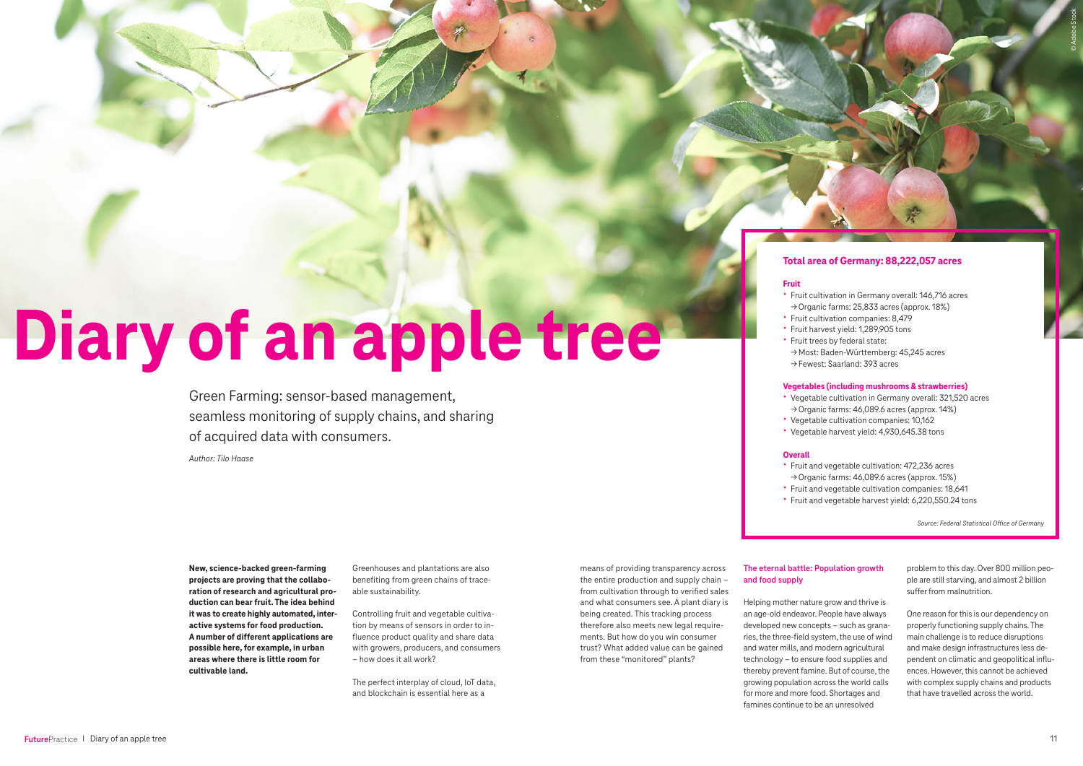**New, science-backed green-farming projects are proving that the collaboration of research and agricultural production can bear fruit. The idea behind it was to create highly automated, interactive systems for food production. A number of different applications are possible here, for example, in urban areas where there is little room for cultivable land.** 

Greenhouses and plantations are also benefiting from green chains of traceable sustainability.

Controlling fruit and vegetable cultivation by means of sensors in order to influence product quality and share data with growers, producers, and consumers – how does it all work?

The perfect interplay of cloud, IoT data, and blockchain is essential here as a

means of providing transparency across the entire production and supply chain – from cultivation through to verified sales and what consumers see. A plant diary is being created. This tracking process therefore also meets new legal requirements. But how do you win consumer trust? What added value can be gained from these "monitored" plants?

# **Diary of an apple tree**

Green Farming: sensor-based management, seamless monitoring of supply chains, and sharing of acquired data with consumers.

# **The eternal battle: Population growth and food supply**

Helping mother nature grow and thrive is an age-old endeavor. People have always developed new concepts – such as granaries, the three-field system, the use of wind and water mills, and modern agricultural technology – to ensure food supplies and thereby prevent famine. But of course, the growing population across the world calls for more and more food. Shortages and famines continue to be an unresolved

problem to this day. Over 800 million people are still starving, and almost 2 billion suffer from malnutrition.

One reason for this is our dependency on properly functioning supply chains. The main challenge is to reduce disruptions and make design infrastructures less dependent on climatic and geopolitical influences. However, this cannot be achieved with complex supply chains and products that have travelled across the world.

# **Total area of Germany: 88,222,057 acres**

# **Fruit**

- 
- 
- 
- 
- 
- Fruit cultivation in Germany overall: 146,716 acres →Organic farms: 25,833 acres (approx. 18%) • Fruit cultivation companies: 8,479 • Fruit harvest yield: 1,289,905 tons • Fruit trees by federal state: →Most: Baden-Württemberg: 45,245 acres
- →Fewest: Saarland: 393 acres
- Vegetable cultivation in Germany overall: 321,520 acres →Organic farms: 46,089.6 acres (approx. 14%) • Vegetable cultivation companies: 10,162 • Vegetable harvest yield: 4,930,645.38 tons

# **Vegetables (including mushrooms & strawberries)**

- 
- 
- 
- 

# **Overall**

- Fruit and vegetable cultivation: 472,236 acres →Organic farms: 46,089.6 acres (approx. 15%) • Fruit and vegetable cultivation companies: 18,641
- 
- 
- Fruit and vegetable harvest yield: 6,220,550.24 tons
- 
- 
- 
- 

*Author: Tilo Haase*

*Source: Federal Statistical Office of Germany*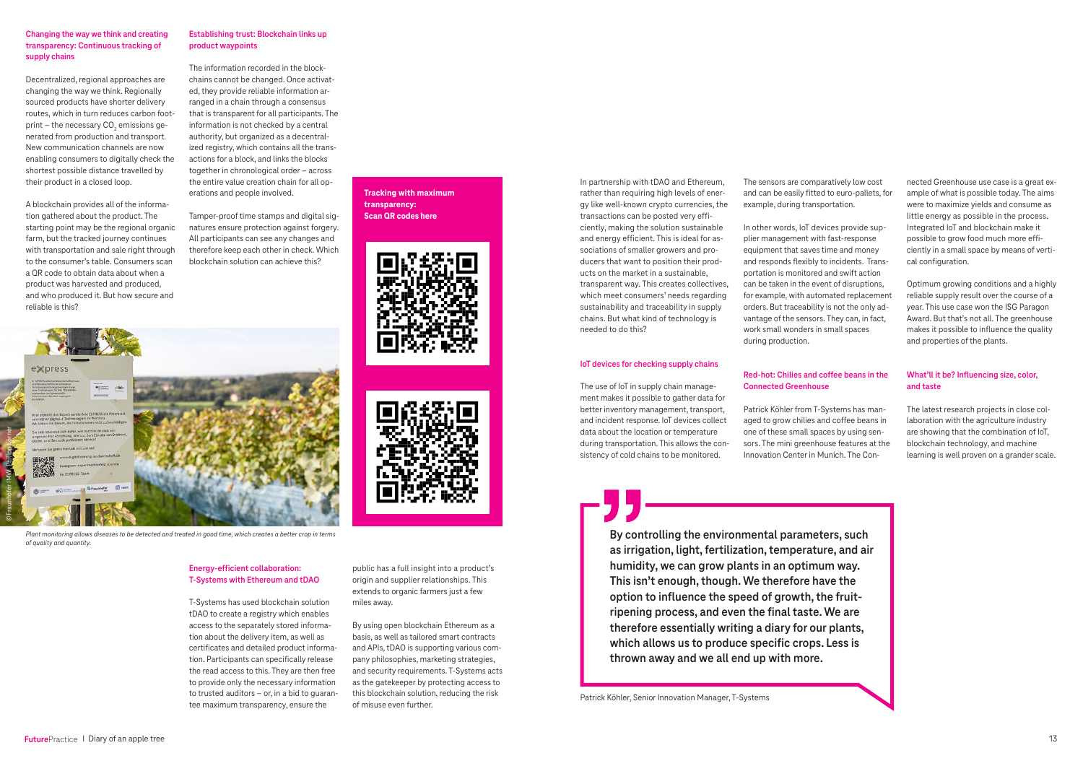#### **Changing the way we think and creating transparency: Continuous tracking of supply chains**

Decentralized, regional approaches are changing the way we think. Regionally sourced products have shorter delivery routes, which in turn reduces carbon footprint – the necessary CO $_{\textrm{\tiny{2}}}$  emissions generated from production and transport. New communication channels are now enabling consumers to digitally check the shortest possible distance travelled by their product in a closed loop.

A blockchain provides all of the information gathered about the product. The starting point may be the regional organic farm, but the tracked journey continues with transportation and sale right through to the consumer's table. Consumers scan a QR code to obtain data about when a product was harvested and produced, and who produced it. But how secure and reliable is this?

**Establishing trust: Blockchain links up product waypoints**

The information recorded in the blockchains cannot be changed. Once activated, they provide reliable information arranged in a chain through a consensus that is transparent for all participants. The information is not checked by a central authority, but organized as a decentralized registry, which contains all the transactions for a block, and links the blocks together in chronological order – across the entire value creation chain for all operations and people involved.

Tamper-proof time stamps and digital signatures ensure protection against forgery. All participants can see any changes and therefore keep each other in check. Which blockchain solution can achieve this?

#### **Energy-efficient collaboration: T-Systems with Ethereum and tDAO**

T-Systems has used blockchain solution tDAO to create a registry which enables access to the separately stored information about the delivery item, as well as certificates and detailed product information. Participants can specifically release the read access to this. They are then free to provide only the necessary information to trusted auditors – or, in a bid to guarantee maximum transparency, ensure the

**Tracking with maximum transparency: Scan QR codes here**



public has a full insight into a product's origin and supplier relationships. This extends to organic farmers just a few miles away.

By using open blockchain Ethereum as a basis, as well as tailored smart contracts and APIs, tDAO is supporting various company philosophies, marketing strategies, and security requirements. T-Systems acts as the gatekeeper by protecting access to this blockchain solution, reducing the risk of misuse even further.

In partnership with tDAO and Ethereum, rather than requiring high levels of energy like well-known crypto currencies, the transactions can be posted very efficiently, making the solution sustainable and energy efficient. This is ideal for associations of smaller growers and producers that want to position their products on the market in a sustainable, transparent way. This creates collectives, which meet consumers' needs regarding sustainability and traceability in supply chains. But what kind of technology is needed to do this?

#### **IoT devices for checking supply chains**

The use of IoT in supply chain management makes it possible to gather data for better inventory management, transport, and incident response. IoT devices collect data about the location or temperature during transportation. This allows the consistency of cold chains to be monitored.

> **By controlling the environmental parameters, such as irrigation, light, fertilization, temperature, and air humidity, we can grow plants in an optimum way. This isn't enough, though. We therefore have the option to influence the speed of growth, the fruitripening process, and even the final taste. We are therefore essentially writing a diary for our plants, which allows us to produce specific crops. Less is thrown away and we all end up with more.**



*Plant monitoring allows diseases to be detected and treated in good time, which creates a better crop in terms of quality and quantity.*

The sensors are comparatively low cost and can be easily fitted to euro-pallets, for example, during transportation.

In other words, IoT devices provide supplier management with fast-response equipment that saves time and money and responds flexibly to incidents. Transportation is monitored and swift action can be taken in the event of disruptions, for example, with automated replacement orders. But traceability is not the only advantage of the sensors. They can, in fact, work small wonders in small spaces during production.



#### **Red-hot: Chilies and coffee beans in the Connected Greenhouse**

Patrick Köhler from T-Systems has managed to grow chilies and coffee beans in one of these small spaces by using sensors. The mini greenhouse features at the Innovation Center in Munich. The Connected Greenhouse use case is a great example of what is possible today. The aims were to maximize yields and consume as little energy as possible in the process. Integrated IoT and blockchain make it possible to grow food much more efficiently in a small space by means of vertical configuration.

Optimum growing conditions and a highly reliable supply result over the course of a year. This use case won the ISG Paragon Award. But that's not all. The greenhouse makes it possible to influence the quality and properties of the plants.

### **What'll it be? Influencing size, color, and taste**

The latest research projects in close collaboration with the agriculture industry are showing that the combination of IoT, blockchain technology, and machine learning is well proven on a grander scale.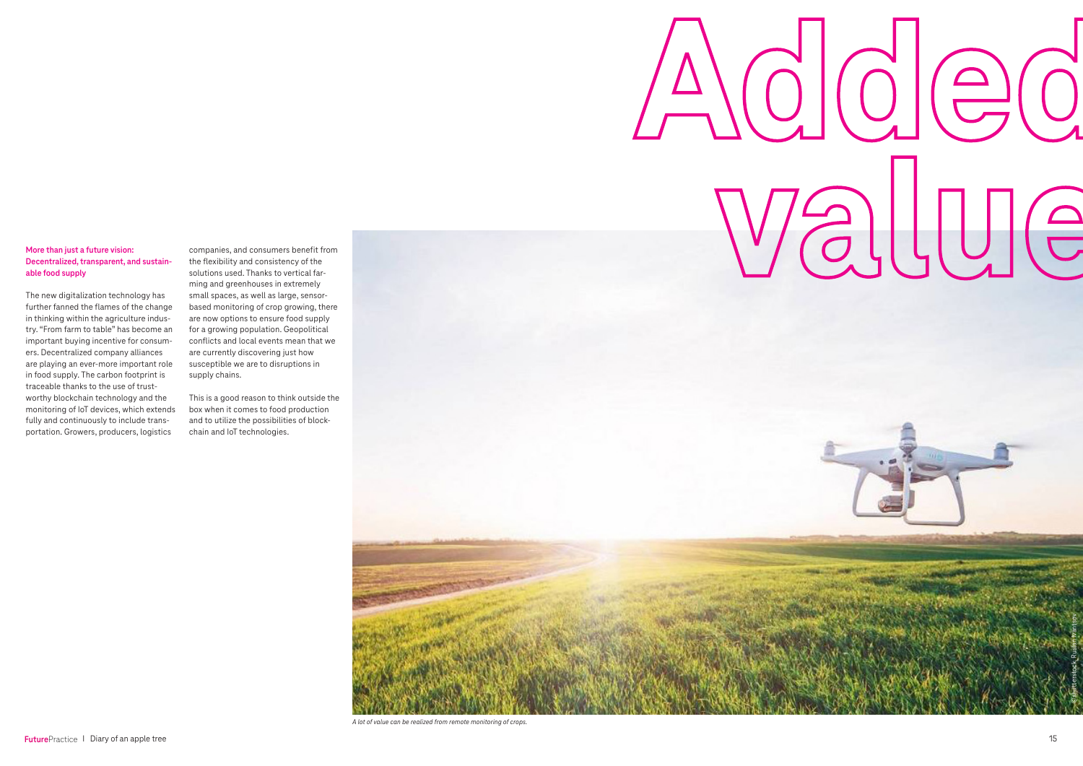## **More than just a future vision: Decentralized, transparent, and sustainable food supply**

The new digitalization technology has further fanned the flames of the change in thinking within the agriculture industry. "From farm to table" has become an important buying incentive for consumers. Decentralized company alliances are playing an ever-more important role in food supply. The carbon footprint is traceable thanks to the use of trustworthy blockchain technology and the monitoring of IoT devices, which extends fully and continuously to include transportation. Growers, producers, logistics

companies, and consumers benefit from the flexibility and consistency of the solutions used. Thanks to vertical farming and greenhouses in extremely small spaces, as well as large, sensorbased monitoring of crop growing, there are now options to ensure food supply for a growing population. Geopolitical conflicts and local events mean that we are currently discovering just how susceptible we are to disruptions in supply chains.

This is a good reason to think outside the box when it comes to food production and to utilize the possibilities of blockchain and IoT technologies.